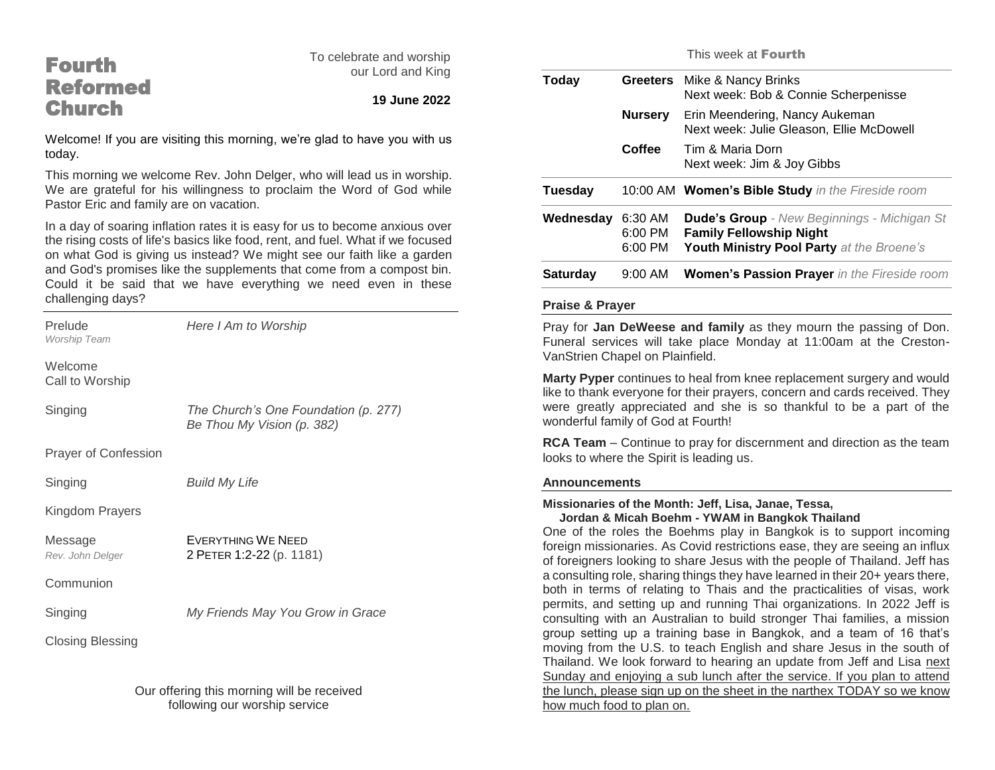# Fourth Reformed **Church**

To celebrate and worship our Lord and King

## **19 June 2022**

Welcome! If you are visiting this morning, we're glad to have you with us today.

This morning we welcome Rev. John Delger, who will lead us in worship. We are grateful for his willingness to proclaim the Word of God while Pastor Eric and family are on vacation.

In a day of soaring inflation rates it is easy for us to become anxious over the rising costs of life's basics like food, rent, and fuel. What if we focused on what God is giving us instead? We might see our faith like a garden and God's promises like the supplements that come from a compost bin. Could it be said that we have everything we need even in these challenging days?

| Prelude<br><b>Worship Team</b>             | Here I Am to Worship                                               |  |
|--------------------------------------------|--------------------------------------------------------------------|--|
| Welcome<br>Call to Worship                 |                                                                    |  |
| Singing                                    | The Church's One Foundation (p. 277)<br>Be Thou My Vision (p. 382) |  |
| Prayer of Confession                       |                                                                    |  |
| Singing                                    | <b>Build My Life</b>                                               |  |
| Kingdom Prayers                            |                                                                    |  |
| Message<br>Rev. John Delger                | <b>EVERYTHING WE NEED</b><br>2 PETER 1:2-22 (p. 1181)              |  |
| Communion                                  |                                                                    |  |
| Singing                                    | My Friends May You Grow in Grace                                   |  |
| <b>Closing Blessing</b>                    |                                                                    |  |
| Our offering this morning will be resolved |                                                                    |  |

Our offering this morning will be received following our worship service

This week at Fourth

| Today           | <b>Greeters</b>                   | Mike & Nancy Brinks<br>Next week: Bob & Connie Scherpenisse                                                                       |
|-----------------|-----------------------------------|-----------------------------------------------------------------------------------------------------------------------------------|
|                 | <b>Nursery</b>                    | Erin Meendering, Nancy Aukeman<br>Next week: Julie Gleason, Ellie McDowell                                                        |
|                 | Coffee                            | Tim & Maria Dorn<br>Next week: Jim & Joy Gibbs                                                                                    |
| Tuesday         |                                   | 10:00 AM Women's Bible Study in the Fireside room                                                                                 |
| Wednesday       | 6:30 AM<br>$6:00$ PM<br>$6:00$ PM | <b>Dude's Group</b> - New Beginnings - Michigan St<br><b>Family Fellowship Night</b><br>Youth Ministry Pool Party at the Broene's |
| <b>Saturday</b> | $9:00$ AM                         | <b>Women's Passion Prayer</b> in the Fireside room                                                                                |

#### **Praise & Prayer**

Pray for **Jan DeWeese and family** as they mourn the passing of Don. Funeral services will take place Monday at 11:00am at the Creston-VanStrien Chapel on Plainfield.

**Marty Pyper** continues to heal from knee replacement surgery and would like to thank everyone for their prayers, concern and cards received. They were greatly appreciated and she is so thankful to be a part of the wonderful family of God at Fourth!

**RCA Team** – Continue to pray for discernment and direction as the team looks to where the Spirit is leading us.

#### **Announcements**

#### **Missionaries of the Month: Jeff, Lisa, Janae, Tessa, Jordan & Micah Boehm - YWAM in Bangkok Thailand**

One of the roles the Boehms play in Bangkok is to support incoming foreign missionaries. As Covid restrictions ease, they are seeing an influx of foreigners looking to share Jesus with the people of Thailand. Jeff has a consulting role, sharing things they have learned in their 20+ years there, both in terms of relating to Thais and the practicalities of visas, work permits, and setting up and running Thai organizations. In 2022 Jeff is consulting with an Australian to build stronger Thai families, a mission group setting up a training base in Bangkok, and a team of 16 that's moving from the U.S. to teach English and share Jesus in the south of Thailand. We look forward to hearing an update from Jeff and Lisa next Sunday and enjoying a sub lunch after the service. If you plan to attend the lunch, please sign up on the sheet in the narthex TODAY so we know how much food to plan on.